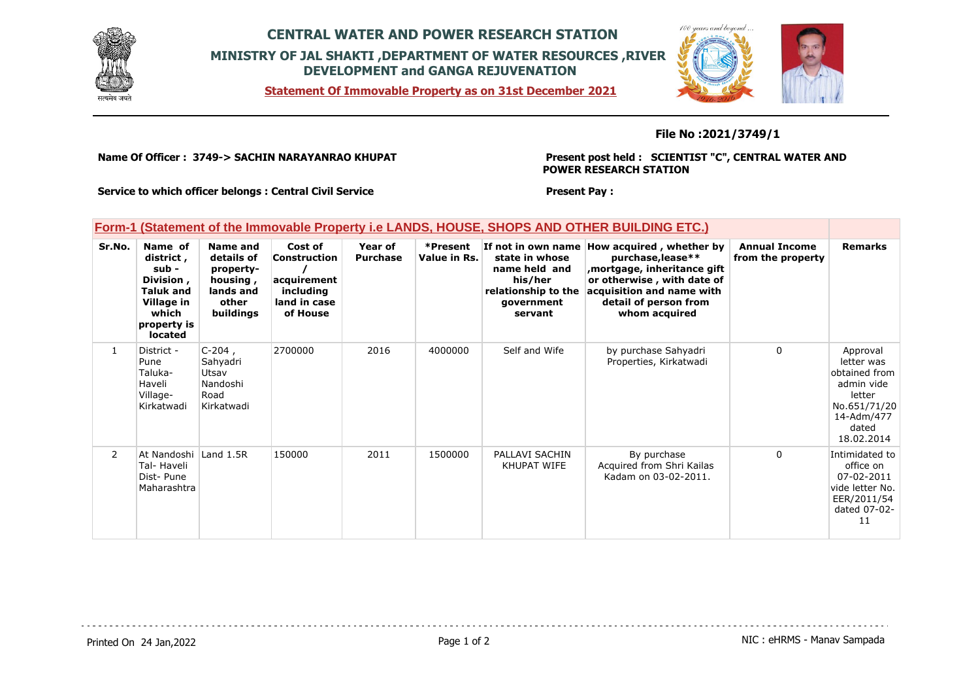

## **CENTRAL WATER AND POWER RESEARCH STATION MINISTRY OF JAL SHAKTI ,DEPARTMENT OF WATER RESOURCES ,RIVER DEVELOPMENT and GANGA REJUVENATION**

**Statement Of Immovable Property as on 31st December 2021**



## **File No :2021/3749/1**

**Name Of Officer : 3749-> SACHIN NARAYANRAO KHUPAT** 

**Present post held : SCIENTIST "C", CENTRAL WATER AND POWER RESEARCH STATION**

**Present Pay :** 

**Service to which officer belongs : Central Civil Service**

### **Form-1 (Statement of the Immovable Property i.e LANDS, HOUSE, SHOPS AND OTHER BUILDING ETC.)**

| Sr.No.         | Name of<br>district,<br>sub -<br>Division,<br><b>Taluk and</b><br>Village in<br>which<br>property is<br><b>located</b> | Name and<br>details of<br>property-<br>housing,<br>lands and<br>other<br>buildings | Cost of<br>Construction<br>acquirement<br>including<br>land in case<br>of House | Year of<br><b>Purchase</b> | *Present<br>Value in Rs. | If not in own name<br>state in whose<br>name held and<br>his/her<br>relationship to the<br>government<br>servant | How acquired, whether by<br>purchase, lease**<br>mortgage, inheritance gift,<br>or otherwise, with date of<br>acquisition and name with<br>detail of person from<br>whom acquired | <b>Annual Income</b><br>from the property | <b>Remarks</b>                                                                                                       |
|----------------|------------------------------------------------------------------------------------------------------------------------|------------------------------------------------------------------------------------|---------------------------------------------------------------------------------|----------------------------|--------------------------|------------------------------------------------------------------------------------------------------------------|-----------------------------------------------------------------------------------------------------------------------------------------------------------------------------------|-------------------------------------------|----------------------------------------------------------------------------------------------------------------------|
| $\mathbf{1}$   | District -<br>Pune<br>Taluka-<br>Haveli<br>Village-<br>Kirkatwadi                                                      | $C-204$ ,<br>Sahyadri<br>Utsav<br>Nandoshi<br>Road<br>Kirkatwadi                   | 2700000                                                                         | 2016                       | 4000000                  | Self and Wife                                                                                                    | by purchase Sahyadri<br>Properties, Kirkatwadi                                                                                                                                    | 0                                         | Approval<br>letter was<br>obtained from<br>admin vide<br>letter<br>No.651/71/20<br>14-Adm/477<br>dated<br>18.02.2014 |
| $\overline{2}$ | At Nandoshi Land 1.5R<br>Tal- Haveli<br>Dist-Pune<br>Maharashtra                                                       |                                                                                    | 150000                                                                          | 2011                       | 1500000                  | PALLAVI SACHIN<br>KHUPAT WIFE                                                                                    | By purchase<br>Acquired from Shri Kailas<br>Kadam on 03-02-2011.                                                                                                                  | $\Omega$                                  | Intimidated to<br>office on<br>07-02-2011<br>vide letter No.<br>EER/2011/54<br>dated 07-02-<br>11                    |